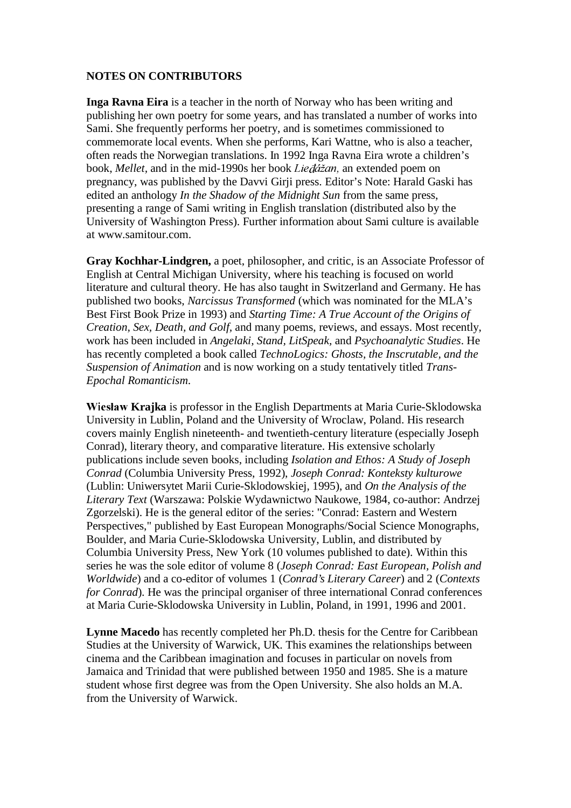## **NOTES ON CONTRIBUTORS**

**Inga Ravna Eira** is a teacher in the north of Norway who has been writing and publishing her own poetry for some years, and has translated a number of works into Sami. She frequently performs her poetry, and is sometimes commissioned to commemorate local events. When she performs, Kari Wattne, who is also a teacher, often reads the Norwegian translations. In 1992 Inga Ravna Eira wrote a children's book, *Mellet*, and in the mid-1990s her book Liedážan, an extended poem on pregnancy, was published by the Davvi Girji press. Editor's Note: Harald Gaski has edited an anthology *In the Shadow of the Midnight Sun* from the same press, presenting a range of Sami writing in English translation (distributed also by the University of Washington Press). Further information about Sami culture is available at www.samitour.com.

**Gray Kochhar-Lindgren,** a poet, philosopher, and critic, is an Associate Professor of English at Central Michigan University, where his teaching is focused on world literature and cultural theory. He has also taught in Switzerland and Germany. He has published two books, *Narcissus Transformed* (which was nominated for the MLA's Best First Book Prize in 1993) and *Starting Time: A True Account of the Origins of Creation, Sex, Death, and Golf,* and many poems, reviews, and essays. Most recently, work has been included in *Angelaki, Stand, LitSpeak,* and *Psychoanalytic Studies*. He has recently completed a book called *TechnoLogics: Ghosts, the Inscrutable, and the Suspension of Animation* and is now working on a study tentatively titled *Trans-Epochal Romanticism*.

Wiesław Krajka is professor in the English Departments at Maria Curie-Sklodowska University in Lublin, Poland and the University of Wroclaw, Poland. His research covers mainly English nineteenth- and twentieth-century literature (especially Joseph Conrad), literary theory, and comparative literature. His extensive scholarly publications include seven books, including *Isolation and Ethos: A Study of Joseph Conrad* (Columbia University Press, 1992), *Joseph Conrad: Konteksty kulturowe* (Lublin: Uniwersytet Marii Curie-Sklodowskiej, 1995), and *On the Analysis of the Literary Text* (Warszawa: Polskie Wydawnictwo Naukowe, 1984, co-author: Andrzej Zgorzelski). He is the general editor of the series: "Conrad: Eastern and Western Perspectives," published by East European Monographs/Social Science Monographs, Boulder, and Maria Curie-Sklodowska University, Lublin, and distributed by Columbia University Press, New York (10 volumes published to date). Within this series he was the sole editor of volume 8 (*Joseph Conrad: East European, Polish and Worldwide*) and a co-editor of volumes 1 (*Conrad's Literary Career*) and 2 (*Contexts for Conrad*). He was the principal organiser of three international Conrad conferences at Maria Curie-Sklodowska University in Lublin, Poland, in 1991, 1996 and 2001.

**Lynne Macedo** has recently completed her Ph.D. thesis for the Centre for Caribbean Studies at the University of Warwick, UK. This examines the relationships between cinema and the Caribbean imagination and focuses in particular on novels from Jamaica and Trinidad that were published between 1950 and 1985. She is a mature student whose first degree was from the Open University. She also holds an M.A. from the University of Warwick.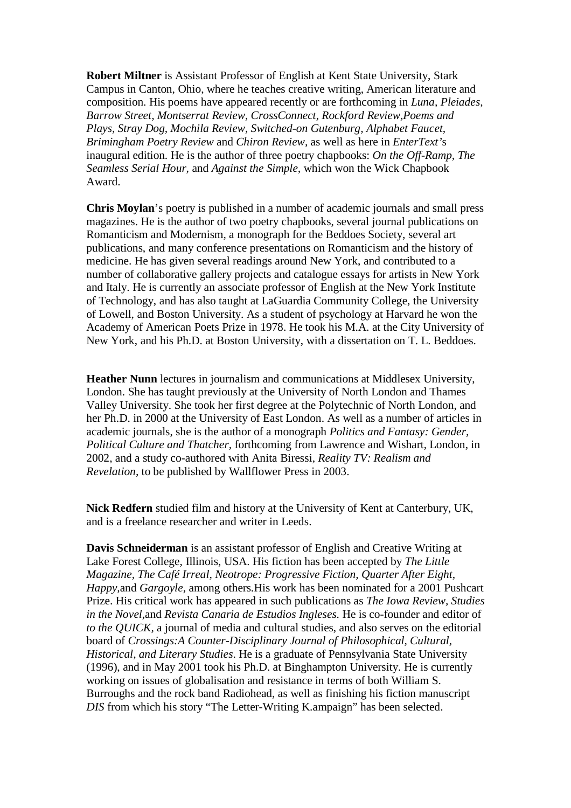**Robert Miltner** is Assistant Professor of English at Kent State University, Stark Campus in Canton, Ohio, where he teaches creative writing, American literature and composition. His poems have appeared recently or are forthcoming in *Luna, Pleiades, Barrow Street, Montserrat Review, CrossConnect, Rockford Review,Poems and Plays, Stray Dog, Mochila Review, Switched-on Gutenburg, Alphabet Faucet, Brimingham Poetry Review* and *Chiron Review,* as well as here in *EnterText'*s inaugural edition. He is the author of three poetry chapbooks: *On the Off-Ramp, The Seamless Serial Hour,* and *Against the Simple,* which won the Wick Chapbook Award.

**Chris Moylan**'s poetry is published in a number of academic journals and small press magazines. He is the author of two poetry chapbooks, several journal publications on Romanticism and Modernism, a monograph for the Beddoes Society, several art publications, and many conference presentations on Romanticism and the history of medicine. He has given several readings around New York, and contributed to a number of collaborative gallery projects and catalogue essays for artists in New York and Italy. He is currently an associate professor of English at the New York Institute of Technology, and has also taught at LaGuardia Community College, the University of Lowell, and Boston University. As a student of psychology at Harvard he won the Academy of American Poets Prize in 1978. He took his M.A. at the City University of New York, and his Ph.D. at Boston University, with a dissertation on T. L. Beddoes.

**Heather Nunn** lectures in journalism and communications at Middlesex University, London. She has taught previously at the University of North London and Thames Valley University. She took her first degree at the Polytechnic of North London, and her Ph.D. in 2000 at the University of East London. As well as a number of articles in academic journals, she is the author of a monograph *Politics and Fantasy: Gender, Political Culture and Thatcher,* forthcoming from Lawrence and Wishart, London, in 2002, and a study co-authored with Anita Biressi, *Reality TV: Realism and Revelation,* to be published by Wallflower Press in 2003.

**Nick Redfern** studied film and history at the University of Kent at Canterbury, UK, and is a freelance researcher and writer in Leeds.

**Davis Schneiderman** is an assistant professor of English and Creative Writing at Lake Forest College, Illinois, USA. His fiction has been accepted by *The Little Magazine, The Café Irreal, Neotrope: Progressive Fiction, Quarter After Eight, Happy,*and *Gargoyle,* among others*.*His work has been nominated for a 2001 Pushcart Prize. His critical work has appeared in such publications as *The Iowa Review, Studies in the Novel,*and *Revista Canaria de Estudios Ingleses.* He is co-founder and editor of *to the QUICK,* a journal of media and cultural studies, and also serves on the editorial board of *Crossings:A Counter-Disciplinary Journal of Philosophical, Cultural, Historical, and Literary Studies*. He is a graduate of Pennsylvania State University (1996), and in May 2001 took his Ph.D. at Binghampton University. He is currently working on issues of globalisation and resistance in terms of both William S. Burroughs and the rock band Radiohead, as well as finishing his fiction manuscript *DIS* from which his story "The Letter-Writing K.ampaign" has been selected.